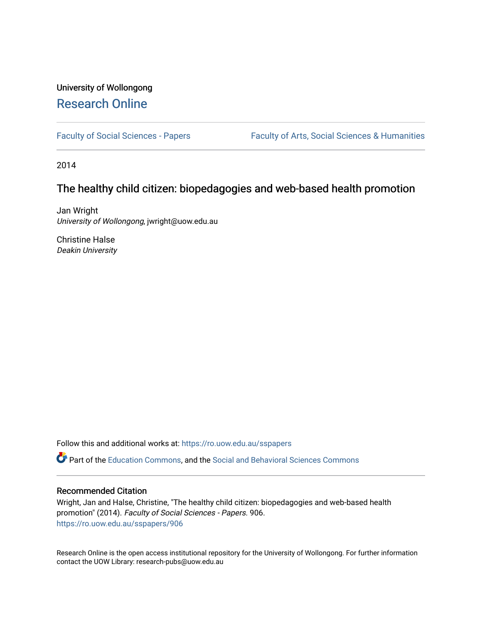# University of Wollongong [Research Online](https://ro.uow.edu.au/)

[Faculty of Social Sciences - Papers](https://ro.uow.edu.au/sspapers) Faculty of Arts, Social Sciences & Humanities

2014

## The healthy child citizen: biopedagogies and web-based health promotion

Jan Wright University of Wollongong, jwright@uow.edu.au

Christine Halse Deakin University

Follow this and additional works at: [https://ro.uow.edu.au/sspapers](https://ro.uow.edu.au/sspapers?utm_source=ro.uow.edu.au%2Fsspapers%2F906&utm_medium=PDF&utm_campaign=PDFCoverPages) 

Part of the [Education Commons](http://network.bepress.com/hgg/discipline/784?utm_source=ro.uow.edu.au%2Fsspapers%2F906&utm_medium=PDF&utm_campaign=PDFCoverPages), and the [Social and Behavioral Sciences Commons](http://network.bepress.com/hgg/discipline/316?utm_source=ro.uow.edu.au%2Fsspapers%2F906&utm_medium=PDF&utm_campaign=PDFCoverPages) 

#### Recommended Citation

Wright, Jan and Halse, Christine, "The healthy child citizen: biopedagogies and web-based health promotion" (2014). Faculty of Social Sciences - Papers. 906. [https://ro.uow.edu.au/sspapers/906](https://ro.uow.edu.au/sspapers/906?utm_source=ro.uow.edu.au%2Fsspapers%2F906&utm_medium=PDF&utm_campaign=PDFCoverPages) 

Research Online is the open access institutional repository for the University of Wollongong. For further information contact the UOW Library: research-pubs@uow.edu.au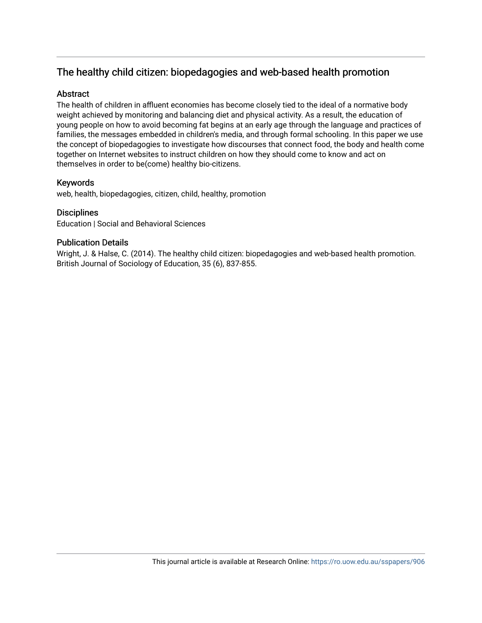# The healthy child citizen: biopedagogies and web-based health promotion

## **Abstract**

The health of children in affluent economies has become closely tied to the ideal of a normative body weight achieved by monitoring and balancing diet and physical activity. As a result, the education of young people on how to avoid becoming fat begins at an early age through the language and practices of families, the messages embedded in children's media, and through formal schooling. In this paper we use the concept of biopedagogies to investigate how discourses that connect food, the body and health come together on Internet websites to instruct children on how they should come to know and act on themselves in order to be(come) healthy bio-citizens.

## Keywords

web, health, biopedagogies, citizen, child, healthy, promotion

## **Disciplines**

Education | Social and Behavioral Sciences

## Publication Details

Wright, J. & Halse, C. (2014). The healthy child citizen: biopedagogies and web-based health promotion. British Journal of Sociology of Education, 35 (6), 837-855.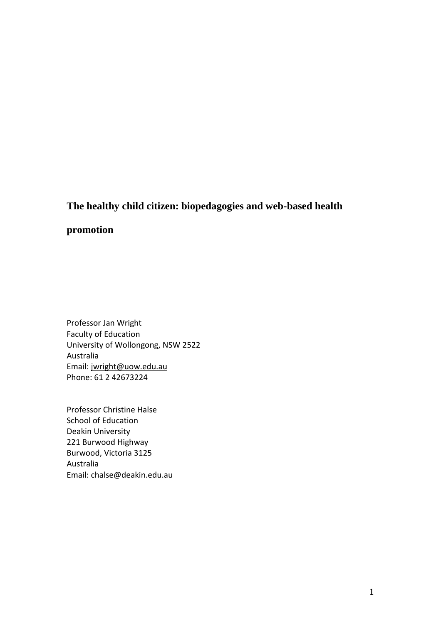# **The healthy child citizen: biopedagogies and web-based health**

## **promotion**

Professor Jan Wright Faculty of Education University of Wollongong, NSW 2522 Australia Email: [jwright@uow.edu.au](mailto:jwright@uow.edu.au) Phone: 61 2 42673224

<span id="page-2-0"></span>Professor Christine Halse School of Education Deakin University 221 Burwood Highway Burwood, Victoria 3125 Australia Email: chalse@deakin.edu.au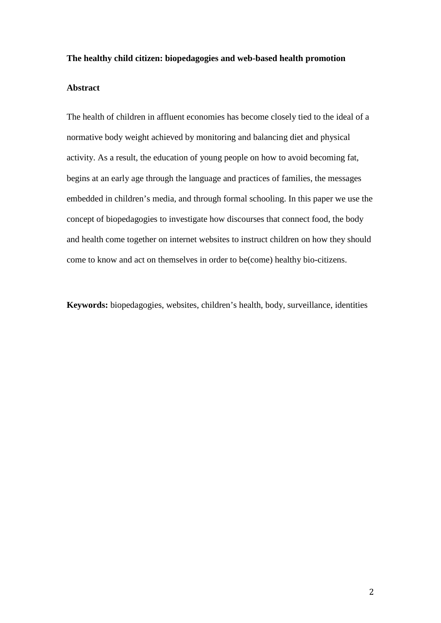#### **The healthy child citizen: biopedagogies and web-based health promotion**

### **Abstract**

The health of children in affluent economies has become closely tied to the ideal of a normative body weight achieved by monitoring and balancing diet and physical activity. As a result, the education of young people on how to avoid becoming fat, begins at an early age through the language and practices of families, the messages embedded in children's media, and through formal schooling. In this paper we use the concept of biopedagogies to investigate how discourses that connect food, the body and health come together on internet websites to instruct children on how they should come to know and act on themselves in order to be(come) healthy bio-citizens.

**Keywords:** biopedagogies, websites, children's health, body, surveillance, identities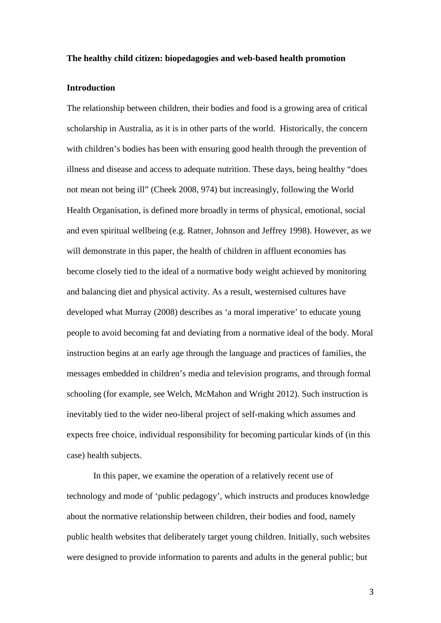#### **The healthy child citizen: biopedagogies and web-based health promotion**

#### **Introduction**

The relationship between children, their bodies and food is a growing area of critical scholarship in Australia, as it is in other parts of the world. Historically, the concern with children's bodies has been with ensuring good health through the prevention of illness and disease and access to adequate nutrition. These days, being healthy "does not mean not being ill" (Cheek 2008, 974) but increasingly, following the World Health Organisation, is defined more broadly in terms of physical, emotional, social and even spiritual wellbeing (e.g. Ratner, Johnson and Jeffrey 1998). However, as we will demonstrate in this paper, the health of children in affluent economies has become closely tied to the ideal of a normative body weight achieved by monitoring and balancing diet and physical activity. As a result, westernised cultures have developed what Murray (2008) describes as 'a moral imperative' to educate young people to avoid becoming fat and deviating from a normative ideal of the body. Moral instruction begins at an early age through the language and practices of families, the messages embedded in children's media and television programs, and through formal schooling (for example, see Welch, McMahon and Wright 2012). Such instruction is inevitably tied to the wider neo-liberal project of self-making which assumes and expects free choice, individual responsibility for becoming particular kinds of (in this case) health subjects.

In this paper, we examine the operation of a relatively recent use of technology and mode of 'public pedagogy', which instructs and produces knowledge about the normative relationship between children, their bodies and food, namely public health websites that deliberately target young children. Initially, such websites were designed to provide information to parents and adults in the general public; but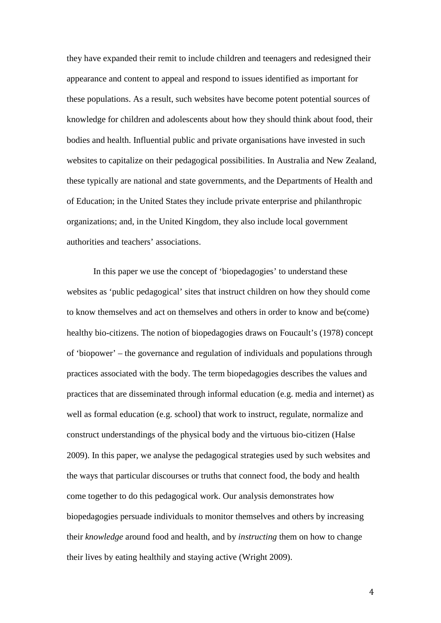they have expanded their remit to include children and teenagers and redesigned their appearance and content to appeal and respond to issues identified as important for these populations. As a result, such websites have become potent potential sources of knowledge for children and adolescents about how they should think about food, their bodies and health. Influential public and private organisations have invested in such websites to capitalize on their pedagogical possibilities. In Australia and New Zealand, these typically are national and state governments, and the Departments of Health and of Education; in the United States they include private enterprise and philanthropic organizations; and, in the United Kingdom, they also include local government authorities and teachers' associations.

In this paper we use the concept of 'biopedagogies' to understand these websites as 'public pedagogical' sites that instruct children on how they should come to know themselves and act on themselves and others in order to know and be(come) healthy bio-citizens. The notion of biopedagogies draws on Foucault's (1978) concept of 'biopower' – the governance and regulation of individuals and populations through practices associated with the body. The term biopedagogies describes the values and practices that are disseminated through informal education (e.g. media and internet) as well as formal education (e.g. school) that work to instruct, regulate, normalize and construct understandings of the physical body and the virtuous bio-citizen (Halse 2009). In this paper, we analyse the pedagogical strategies used by such websites and the ways that particular discourses or truths that connect food, the body and health come together to do this pedagogical work. Our analysis demonstrates how biopedagogies persuade individuals to monitor themselves and others by increasing their *knowledge* around food and health, and by *instructing* them on how to change their lives by eating healthily and staying active (Wright 2009).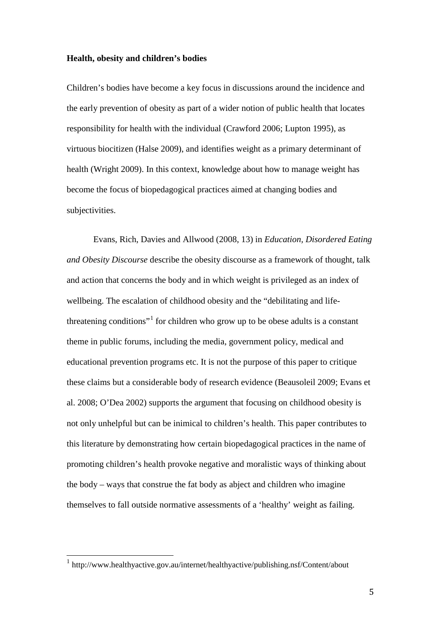#### **Health, obesity and children's bodies**

Children's bodies have become a key focus in discussions around the incidence and the early prevention of obesity as part of a wider notion of public health that locates responsibility for health with the individual (Crawford 2006; Lupton 1995), as virtuous biocitizen (Halse 2009), and identifies weight as a primary determinant of health (Wright 2009). In this context, knowledge about how to manage weight has become the focus of biopedagogical practices aimed at changing bodies and subjectivities.

Evans, Rich, Davies and Allwood (2008, 13) in *Education, Disordered Eating and Obesity Discourse* describe the obesity discourse as a framework of thought, talk and action that concerns the body and in which weight is privileged as an index of wellbeing. The escalation of childhood obesity and the "debilitating and life-threatening conditions"<sup>[1](#page-2-0)</sup> for children who grow up to be obese adults is a constant theme in public forums, including the media, government policy, medical and educational prevention programs etc. It is not the purpose of this paper to critique these claims but a considerable body of research evidence (Beausoleil 2009; Evans et al. 2008; O'Dea 2002) supports the argument that focusing on childhood obesity is not only unhelpful but can be inimical to children's health. This paper contributes to this literature by demonstrating how certain biopedagogical practices in the name of promoting children's health provoke negative and moralistic ways of thinking about the body – ways that construe the fat body as abject and children who imagine themselves to fall outside normative assessments of a 'healthy' weight as failing.

<span id="page-6-0"></span><sup>1</sup> http://www.healthyactive.gov.au/internet/healthyactive/publishing.nsf/Content/about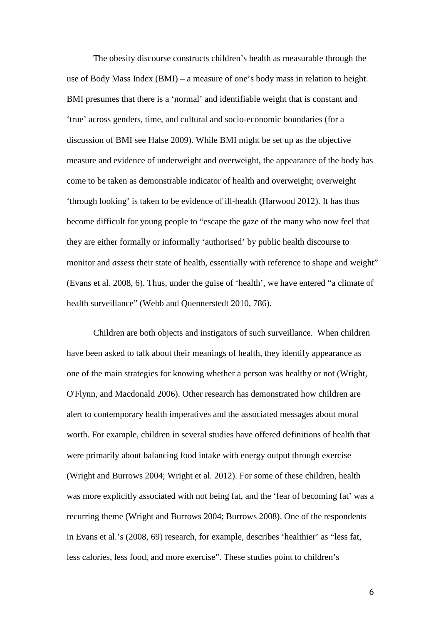The obesity discourse constructs children's health as measurable through the use of Body Mass Index (BMI) – a measure of one's body mass in relation to height. BMI presumes that there is a 'normal' and identifiable weight that is constant and 'true' across genders, time, and cultural and socio-economic boundaries (for a discussion of BMI see Halse 2009). While BMI might be set up as the objective measure and evidence of underweight and overweight, the appearance of the body has come to be taken as demonstrable indicator of health and overweight; overweight 'through looking' is taken to be evidence of ill-health (Harwood 2012). It has thus become difficult for young people to "escape the gaze of the many who now feel that they are either formally or informally 'authorised' by public health discourse to monitor and *assess* their state of health, essentially with reference to shape and weight" (Evans et al. 2008, 6). Thus, under the guise of 'health', we have entered "a climate of health surveillance" (Webb and Quennerstedt 2010, 786).

Children are both objects and instigators of such surveillance. When children have been asked to talk about their meanings of health, they identify appearance as one of the main strategies for knowing whether a person was healthy or not (Wright, O'Flynn, and Macdonald 2006). Other research has demonstrated how children are alert to contemporary health imperatives and the associated messages about moral worth. For example, children in several studies have offered definitions of health that were primarily about balancing food intake with energy output through exercise (Wright and Burrows 2004; Wright et al. 2012). For some of these children, health was more explicitly associated with not being fat, and the 'fear of becoming fat' was a recurring theme (Wright and Burrows 2004; Burrows 2008). One of the respondents in Evans et al.'s (2008, 69) research, for example, describes 'healthier' as "less fat, less calories, less food, and more exercise". These studies point to children's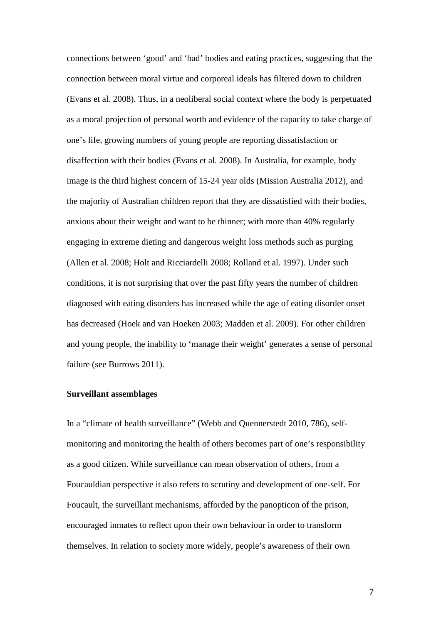connections between 'good' and 'bad' bodies and eating practices, suggesting that the connection between moral virtue and corporeal ideals has filtered down to children (Evans et al. 2008). Thus, in a neoliberal social context where the body is perpetuated as a moral projection of personal worth and evidence of the capacity to take charge of one's life, growing numbers of young people are reporting dissatisfaction or disaffection with their bodies (Evans et al. 2008). In Australia, for example, body image is the third highest concern of 15-24 year olds (Mission Australia 2012), and the majority of Australian children report that they are dissatisfied with their bodies, anxious about their weight and want to be thinner; with more than 40% regularly engaging in extreme dieting and dangerous weight loss methods such as purging (Allen et al. 2008; Holt and Ricciardelli 2008; Rolland et al. 1997). Under such conditions, it is not surprising that over the past fifty years the number of children diagnosed with eating disorders has increased while the age of eating disorder onset has decreased (Hoek and van Hoeken 2003; Madden et al. 2009). For other children and young people, the inability to 'manage their weight' generates a sense of personal failure (see Burrows 2011).

#### **Surveillant assemblages**

In a "climate of health surveillance" (Webb and Quennerstedt 2010, 786), selfmonitoring and monitoring the health of others becomes part of one's responsibility as a good citizen. While surveillance can mean observation of others, from a Foucauldian perspective it also refers to scrutiny and development of one-self. For Foucault, the surveillant mechanisms, afforded by the panopticon of the prison, encouraged inmates to reflect upon their own behaviour in order to transform themselves. In relation to society more widely, people's awareness of their own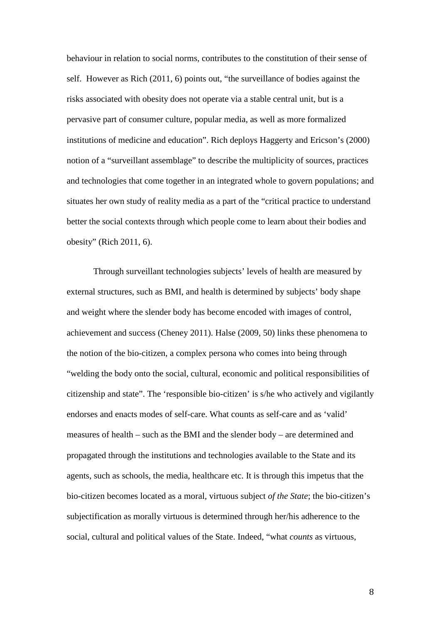behaviour in relation to social norms, contributes to the constitution of their sense of self. However as Rich (2011, 6) points out, "the surveillance of bodies against the risks associated with obesity does not operate via a stable central unit, but is a pervasive part of consumer culture, popular media, as well as more formalized institutions of medicine and education". Rich deploys Haggerty and Ericson's (2000) notion of a "surveillant assemblage" to describe the multiplicity of sources, practices and technologies that come together in an integrated whole to govern populations; and situates her own study of reality media as a part of the "critical practice to understand better the social contexts through which people come to learn about their bodies and obesity" (Rich 2011, 6).

Through surveillant technologies subjects' levels of health are measured by external structures, such as BMI, and health is determined by subjects' body shape and weight where the slender body has become encoded with images of control, achievement and success (Cheney 2011). Halse (2009, 50) links these phenomena to the notion of the bio-citizen, a complex persona who comes into being through "welding the body onto the social, cultural, economic and political responsibilities of citizenship and state". The 'responsible bio-citizen' is s/he who actively and vigilantly endorses and enacts modes of self-care. What counts as self-care and as 'valid' measures of health – such as the BMI and the slender body – are determined and propagated through the institutions and technologies available to the State and its agents, such as schools, the media, healthcare etc. It is through this impetus that the bio-citizen becomes located as a moral, virtuous subject *of the State*; the bio-citizen's subjectification as morally virtuous is determined through her/his adherence to the social, cultural and political values of the State. Indeed, "what *counts* as virtuous,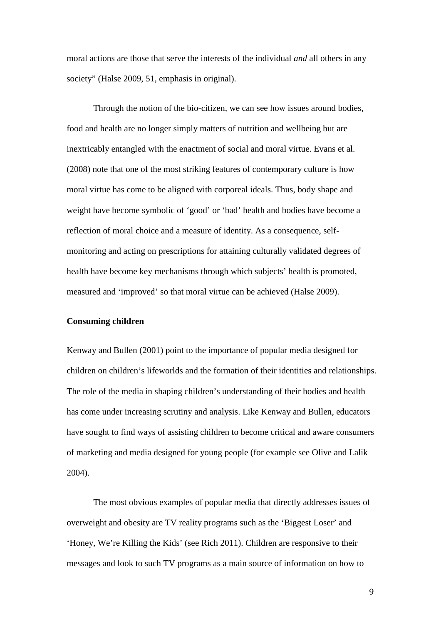moral actions are those that serve the interests of the individual *and* all others in any society" (Halse 2009, 51, emphasis in original).

Through the notion of the bio-citizen, we can see how issues around bodies, food and health are no longer simply matters of nutrition and wellbeing but are inextricably entangled with the enactment of social and moral virtue. Evans et al. (2008) note that one of the most striking features of contemporary culture is how moral virtue has come to be aligned with corporeal ideals. Thus, body shape and weight have become symbolic of 'good' or 'bad' health and bodies have become a reflection of moral choice and a measure of identity. As a consequence, selfmonitoring and acting on prescriptions for attaining culturally validated degrees of health have become key mechanisms through which subjects' health is promoted, measured and 'improved' so that moral virtue can be achieved (Halse 2009).

#### **Consuming children**

Kenway and Bullen (2001) point to the importance of popular media designed for children on children's lifeworlds and the formation of their identities and relationships. The role of the media in shaping children's understanding of their bodies and health has come under increasing scrutiny and analysis. Like Kenway and Bullen, educators have sought to find ways of assisting children to become critical and aware consumers of marketing and media designed for young people (for example see Olive and Lalik 2004).

The most obvious examples of popular media that directly addresses issues of overweight and obesity are TV reality programs such as the 'Biggest Loser' and 'Honey, We're Killing the Kids' (see Rich 2011). Children are responsive to their messages and look to such TV programs as a main source of information on how to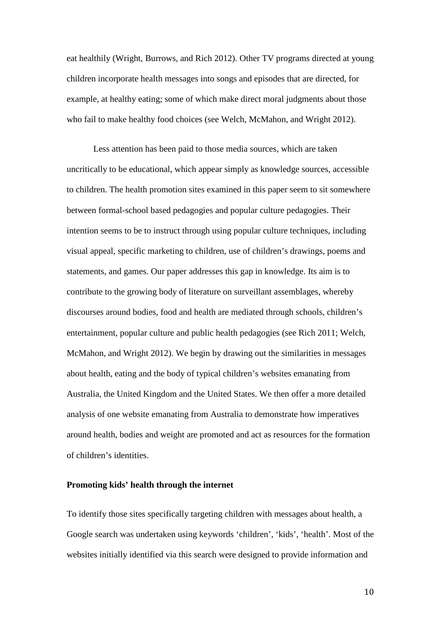eat healthily (Wright, Burrows, and Rich 2012). Other TV programs directed at young children incorporate health messages into songs and episodes that are directed, for example, at healthy eating; some of which make direct moral judgments about those who fail to make healthy food choices (see Welch, McMahon, and Wright 2012).

Less attention has been paid to those media sources, which are taken uncritically to be educational, which appear simply as knowledge sources, accessible to children. The health promotion sites examined in this paper seem to sit somewhere between formal-school based pedagogies and popular culture pedagogies. Their intention seems to be to instruct through using popular culture techniques, including visual appeal, specific marketing to children, use of children's drawings, poems and statements, and games. Our paper addresses this gap in knowledge. Its aim is to contribute to the growing body of literature on surveillant assemblages, whereby discourses around bodies, food and health are mediated through schools, children's entertainment, popular culture and public health pedagogies (see Rich 2011; Welch, McMahon, and Wright 2012). We begin by drawing out the similarities in messages about health, eating and the body of typical children's websites emanating from Australia, the United Kingdom and the United States. We then offer a more detailed analysis of one website emanating from Australia to demonstrate how imperatives around health, bodies and weight are promoted and act as resources for the formation of children's identities.

#### **Promoting kids' health through the internet**

To identify those sites specifically targeting children with messages about health, a Google search was undertaken using keywords 'children', 'kids', 'health'. Most of the websites initially identified via this search were designed to provide information and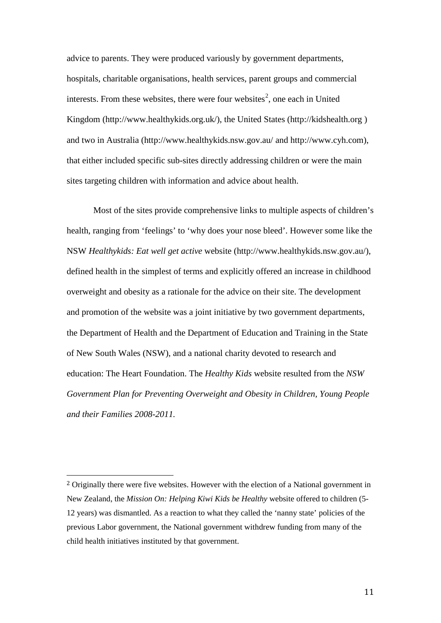advice to parents. They were produced variously by government departments, hospitals, charitable organisations, health services, parent groups and commercial interests. From these websites, there were four websites<sup>[2](#page-6-0)</sup>, one each in United Kingdom (http://www.healthykids.org.uk/), the United States (http://kidshealth.org ) and two in Australia (http://www.healthykids.nsw.gov.au/ and [http://www.cyh.com\)](http://www.cyh.com/), that either included specific sub-sites directly addressing children or were the main sites targeting children with information and advice about health.

Most of the sites provide comprehensive links to multiple aspects of children's health, ranging from 'feelings' to 'why does your nose bleed'. However some like the NSW *Healthykids: Eat well get active* website (http://www.healthykids.nsw.gov.au/), defined health in the simplest of terms and explicitly offered an increase in childhood overweight and obesity as a rationale for the advice on their site. The development and promotion of the website was a joint initiative by two government departments, the Department of Health and the Department of Education and Training in the State of New South Wales (NSW), and a national charity devoted to research and education: The Heart Foundation. The *Healthy Kids* website resulted from the *NSW Government Plan for Preventing Overweight and Obesity in Children, Young People and their Families 2008-2011.*

<sup>&</sup>lt;sup>2</sup> Originally there were five websites. However with the election of a National government in New Zealand, the *Mission On: Helping Kiwi Kids be Healthy* website offered to children (5- 12 years) was dismantled. As a reaction to what they called the 'nanny state' policies of the previous Labor government, the National government withdrew funding from many of the child health initiatives instituted by that government.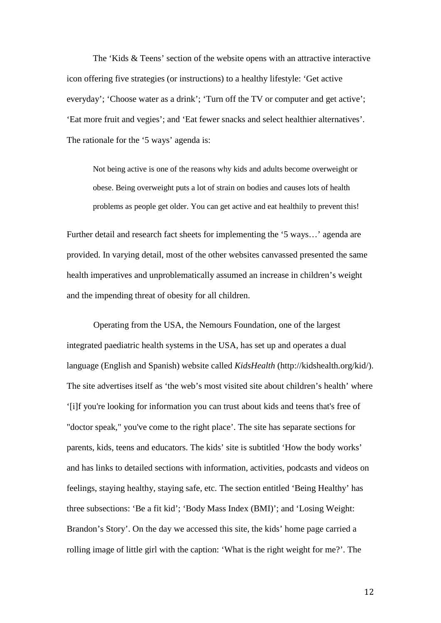The 'Kids & Teens' section of the website opens with an attractive interactive icon offering five strategies (or instructions) to a healthy lifestyle: 'Get active everyday'; 'Choose water as a drink'; 'Turn off the TV or computer and get active'; 'Eat more fruit and vegies'; and 'Eat fewer snacks and select healthier alternatives'. The rationale for the '5 ways' agenda is:

Not being active is one of the reasons why kids and adults become overweight or obese. Being overweight puts a lot of strain on bodies and causes lots of health problems as people get older. You can get active and eat healthily to prevent this!

Further detail and research fact sheets for implementing the '5 ways…' agenda are provided. In varying detail, most of the other websites canvassed presented the same health imperatives and unproblematically assumed an increase in children's weight and the impending threat of obesity for all children.

Operating from the USA, the Nemours Foundation, one of the largest integrated paediatric health systems in the USA, has set up and operates a dual language (English and Spanish) website called *KidsHealth* [\(http://kidshealth.org/kid/\)](http://kidshealth.org/kid/). The site advertises itself as 'the web's most visited site about children's health' where '[i]f you're looking for information you can trust about kids and teens that's free of "doctor speak," you've come to the right place'. The site has separate sections for parents, kids, teens and educators. The kids' site is subtitled 'How the body works' and has links to detailed sections with information, activities, podcasts and videos on feelings, staying healthy, staying safe, etc. The section entitled 'Being Healthy' has three subsections: 'Be a fit kid'; 'Body Mass Index (BMI)'; and 'Losing Weight: Brandon's Story'. On the day we accessed this site, the kids' home page carried a rolling image of little girl with the caption: 'What is the right weight for me?'. The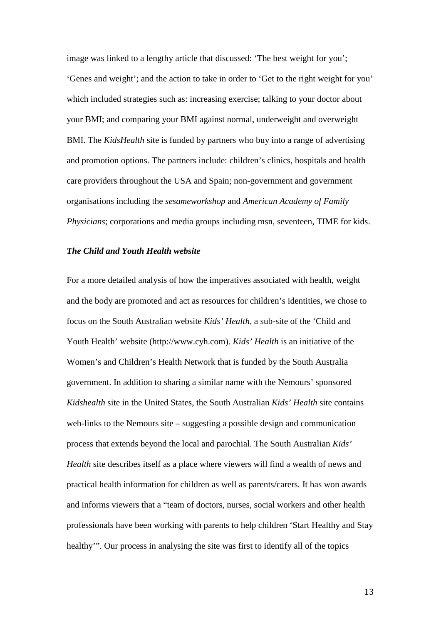image was linked to a lengthy article that discussed: 'The best weight for you'; 'Genes and weight'; and the action to take in order to 'Get to the right weight for you' which included strategies such as: increasing exercise; talking to your doctor about your BMI; and comparing your BMI against normal, underweight and overweight BMI. The *KidsHealth* site is funded by partners who buy into a range of advertising and promotion options. The partners include: children's clinics, hospitals and health care providers throughout the USA and Spain; non-government and government organisations including the *sesameworkshop* and *American Academy of Family Physicians*; corporations and media groups including msn, seventeen, TIME for kids.

#### *The Child and Youth Health website*

For a more detailed analysis of how the imperatives associated with health, weight and the body are promoted and act as resources for children's identities, we chose to focus on the South Australian website *Kids' Health,* a sub-site of the 'Child and Youth Health' website [\(http://www.cyh.com\)](http://www.cyh.com/). *Kids' Health* is an initiative of the Women's and Children's Health Network that is funded by the South Australia government. In addition to sharing a similar name with the Nemours' sponsored *Kidshealth* site in the United States, the South Australian *Kids' Health* site contains web-links to the Nemours site – suggesting a possible design and communication process that extends beyond the local and parochial. The South Australian *Kids' Health* site describes itself as a place where viewers will find a wealth of news and practical health information for children as well as parents/carers. It has won awards and informs viewers that a "team of doctors, nurses, social workers and other health professionals have been working with parents to help children 'Start Healthy and Stay healthy'". Our process in analysing the site was first to identify all of the topics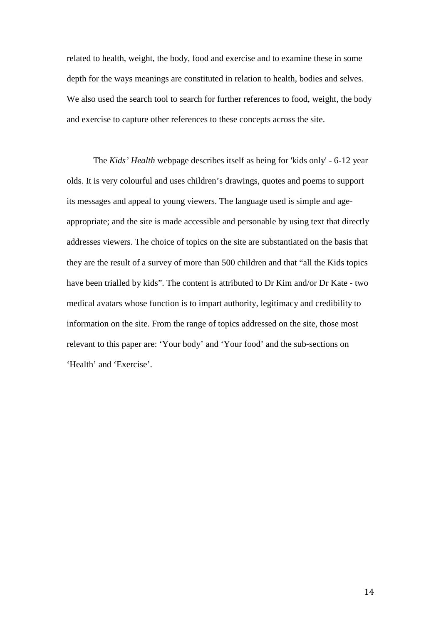related to health, weight, the body, food and exercise and to examine these in some depth for the ways meanings are constituted in relation to health, bodies and selves. We also used the search tool to search for further references to food, weight, the body and exercise to capture other references to these concepts across the site.

The *Kids' Health* webpage describes itself as being for 'kids only' - 6-12 year olds. It is very colourful and uses children's drawings, quotes and poems to support its messages and appeal to young viewers. The language used is simple and ageappropriate; and the site is made accessible and personable by using text that directly addresses viewers. The choice of topics on the site are substantiated on the basis that they are the result of a survey of more than 500 children and that "all the Kids topics have been trialled by kids". The content is attributed to Dr Kim and/or Dr Kate - two medical avatars whose function is to impart authority, legitimacy and credibility to information on the site. From the range of topics addressed on the site, those most relevant to this paper are: 'Your body' and 'Your food' and the sub-sections on 'Health' and 'Exercise'.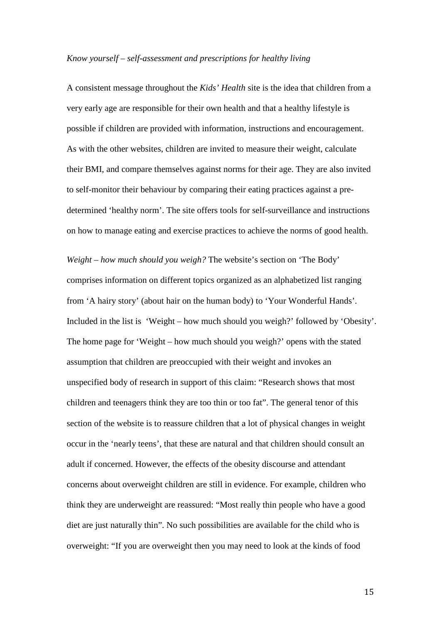#### *Know yourself – self-assessment and prescriptions for healthy living*

A consistent message throughout the *Kids' Health* site is the idea that children from a very early age are responsible for their own health and that a healthy lifestyle is possible if children are provided with information, instructions and encouragement. As with the other websites, children are invited to measure their weight, calculate their BMI, and compare themselves against norms for their age. They are also invited to self-monitor their behaviour by comparing their eating practices against a predetermined 'healthy norm'. The site offers tools for self-surveillance and instructions on how to manage eating and exercise practices to achieve the norms of good health.

*Weight – how much should you weigh?* The website's section on 'The Body' comprises information on different topics organized as an alphabetized list ranging from 'A hairy story' (about hair on the human body) to 'Your Wonderful Hands'. Included in the list is 'Weight – how much should you weigh?' followed by 'Obesity'. The home page for 'Weight – how much should you weigh?' opens with the stated assumption that children are preoccupied with their weight and invokes an unspecified body of research in support of this claim: "Research shows that most children and teenagers think they are too thin or too fat". The general tenor of this section of the website is to reassure children that a lot of physical changes in weight occur in the 'nearly teens', that these are natural and that children should consult an adult if concerned. However, the effects of the obesity discourse and attendant concerns about overweight children are still in evidence. For example, children who think they are underweight are reassured: "Most really thin people who have a good diet are just naturally thin". No such possibilities are available for the child who is overweight: "If you are overweight then you may need to look at the kinds of food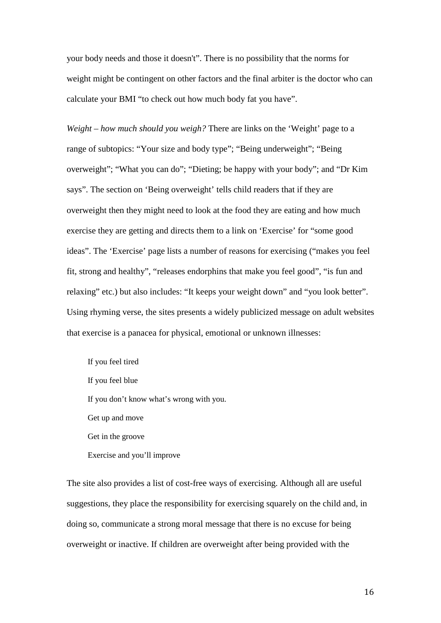your body needs and those it doesn't". There is no possibility that the norms for weight might be contingent on other factors and the final arbiter is the doctor who can calculate your BMI "to check out how much body fat you have".

*Weight – how much should you weigh?* There are links on the 'Weight' page to a range of subtopics: "Your size and body type"; "Being underweight"; "Being overweight"; "What you can do"; "Dieting; be happy with your body"; and "Dr Kim says". The section on 'Being overweight' tells child readers that if they are overweight then they might need to look at the food they are eating and how much exercise they are getting and directs them to a link on 'Exercise' for "some good ideas". The 'Exercise' page lists a number of reasons for exercising ("makes you feel fit, strong and healthy", "releases endorphins that make you feel good", "is fun and relaxing" etc.) but also includes: "It keeps your weight down" and "you look better". Using rhyming verse, the sites presents a widely publicized message on adult websites that exercise is a panacea for physical, emotional or unknown illnesses:

If you feel tired If you feel blue If you don't know what's wrong with you. Get up and move Get in the groove Exercise and you'll improve

The site also provides a list of cost-free ways of exercising. Although all are useful suggestions, they place the responsibility for exercising squarely on the child and, in doing so, communicate a strong moral message that there is no excuse for being overweight or inactive. If children are overweight after being provided with the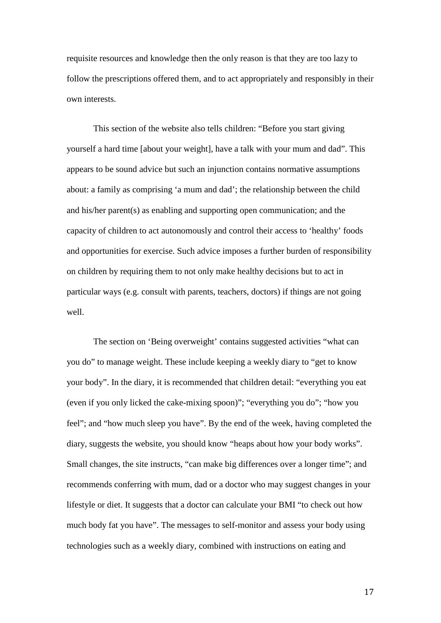requisite resources and knowledge then the only reason is that they are too lazy to follow the prescriptions offered them, and to act appropriately and responsibly in their own interests.

This section of the website also tells children: "Before you start giving yourself a hard time [about your weight], have a talk with your mum and dad". This appears to be sound advice but such an injunction contains normative assumptions about: a family as comprising 'a mum and dad'; the relationship between the child and his/her parent(s) as enabling and supporting open communication; and the capacity of children to act autonomously and control their access to 'healthy' foods and opportunities for exercise. Such advice imposes a further burden of responsibility on children by requiring them to not only make healthy decisions but to act in particular ways (e.g. consult with parents, teachers, doctors) if things are not going well.

The section on 'Being overweight' contains suggested activities "what can you do" to manage weight. These include keeping a weekly diary to "get to know your body". In the diary, it is recommended that children detail: "everything you eat (even if you only licked the cake-mixing spoon)"; "everything you do"; "how you feel"; and "how much sleep you have". By the end of the week, having completed the diary, suggests the website, you should know "heaps about how your body works". Small changes, the site instructs, "can make big differences over a longer time"; and recommends conferring with mum, dad or a doctor who may suggest changes in your lifestyle or diet. It suggests that a doctor can calculate your BMI "to check out how much body fat you have". The messages to self-monitor and assess your body using technologies such as a weekly diary, combined with instructions on eating and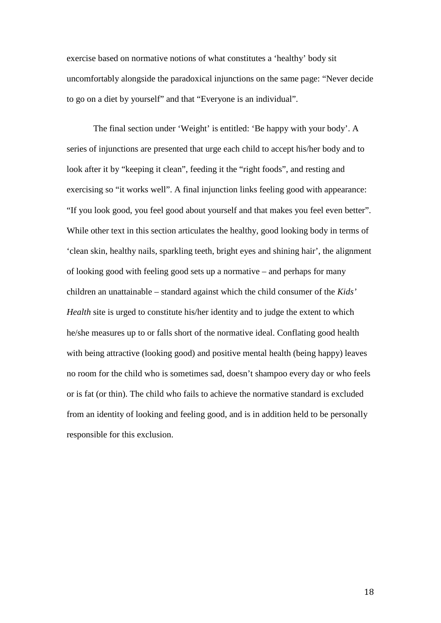exercise based on normative notions of what constitutes a 'healthy' body sit uncomfortably alongside the paradoxical injunctions on the same page: "Never decide to go on a diet by yourself" and that "Everyone is an individual".

The final section under 'Weight' is entitled: 'Be happy with your body'. A series of injunctions are presented that urge each child to accept his/her body and to look after it by "keeping it clean", feeding it the "right foods", and resting and exercising so "it works well". A final injunction links feeling good with appearance: "If you look good, you feel good about yourself and that makes you feel even better". While other text in this section articulates the healthy, good looking body in terms of 'clean skin, healthy nails, sparkling teeth, bright eyes and shining hair', the alignment of looking good with feeling good sets up a normative – and perhaps for many children an unattainable – standard against which the child consumer of the *Kids' Health* site is urged to constitute his/her identity and to judge the extent to which he/she measures up to or falls short of the normative ideal. Conflating good health with being attractive (looking good) and positive mental health (being happy) leaves no room for the child who is sometimes sad, doesn't shampoo every day or who feels or is fat (or thin). The child who fails to achieve the normative standard is excluded from an identity of looking and feeling good, and is in addition held to be personally responsible for this exclusion.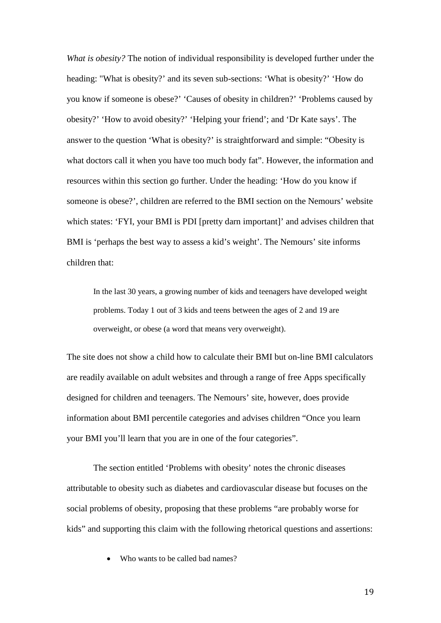*What is obesity?* The notion of individual responsibility is developed further under the heading: "What is obesity?' and its seven sub-sections: 'What is obesity?' 'How do you know if someone is obese?' 'Causes of obesity in children?' 'Problems caused by obesity?' 'How to avoid obesity?' 'Helping your friend'; and 'Dr Kate says'. The answer to the question 'What is obesity?' is straightforward and simple: "Obesity is what doctors call it when you have too much body fat". However, the information and resources within this section go further. Under the heading: 'How do you know if someone is obese?', children are referred to the BMI section on the Nemours' website which states: 'FYI, your BMI is PDI [pretty darn important]' and advises children that BMI is 'perhaps the best way to assess a kid's weight'. The Nemours' site informs children that:

In the last 30 years, a growing number of kids and teenagers have developed weight problems. Today 1 out of 3 kids and teens between the ages of 2 and 19 are overweight, or obese (a word that means very overweight).

The site does not show a child how to calculate their BMI but on-line BMI calculators are readily available on adult websites and through a range of free Apps specifically designed for children and teenagers. The Nemours' site, however, does provide information about BMI percentile categories and advises children "Once you learn your BMI you'll learn that you are in one of the four categories".

The section entitled 'Problems with obesity' notes the chronic diseases attributable to obesity such as diabetes and cardiovascular disease but focuses on the social problems of obesity, proposing that these problems "are probably worse for kids" and supporting this claim with the following rhetorical questions and assertions:

Who wants to be called bad names?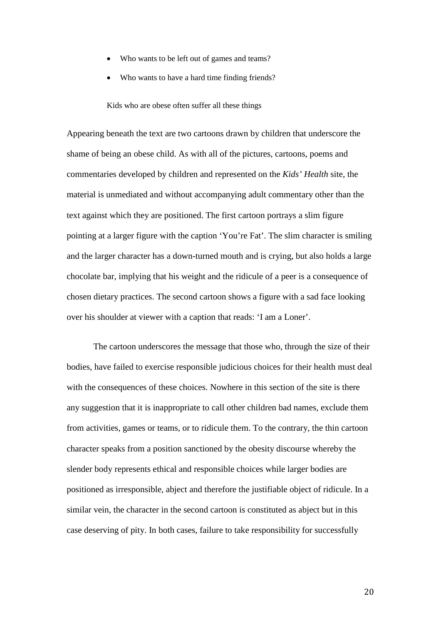- Who wants to be left out of games and teams?
- Who wants to have a hard time finding friends?

Kids who are obese often suffer all these things

Appearing beneath the text are two cartoons drawn by children that underscore the shame of being an obese child. As with all of the pictures, cartoons, poems and commentaries developed by children and represented on the *Kids' Health* site, the material is unmediated and without accompanying adult commentary other than the text against which they are positioned. The first cartoon portrays a slim figure pointing at a larger figure with the caption 'You're Fat'. The slim character is smiling and the larger character has a down-turned mouth and is crying, but also holds a large chocolate bar, implying that his weight and the ridicule of a peer is a consequence of chosen dietary practices. The second cartoon shows a figure with a sad face looking over his shoulder at viewer with a caption that reads: 'I am a Loner'.

The cartoon underscores the message that those who, through the size of their bodies, have failed to exercise responsible judicious choices for their health must deal with the consequences of these choices. Nowhere in this section of the site is there any suggestion that it is inappropriate to call other children bad names, exclude them from activities, games or teams, or to ridicule them. To the contrary, the thin cartoon character speaks from a position sanctioned by the obesity discourse whereby the slender body represents ethical and responsible choices while larger bodies are positioned as irresponsible, abject and therefore the justifiable object of ridicule. In a similar vein, the character in the second cartoon is constituted as abject but in this case deserving of pity. In both cases, failure to take responsibility for successfully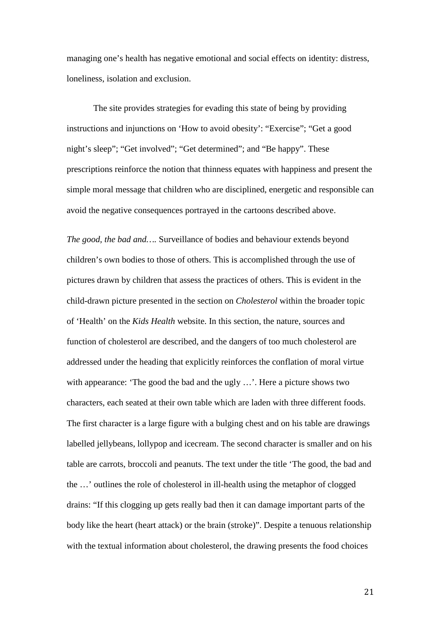managing one's health has negative emotional and social effects on identity: distress, loneliness, isolation and exclusion.

The site provides strategies for evading this state of being by providing instructions and injunctions on 'How to avoid obesity': "Exercise"; "Get a good night's sleep"; "Get involved"; "Get determined"; and "Be happy". These prescriptions reinforce the notion that thinness equates with happiness and present the simple moral message that children who are disciplined, energetic and responsible can avoid the negative consequences portrayed in the cartoons described above.

*The good, the bad and….* Surveillance of bodies and behaviour extends beyond children's own bodies to those of others. This is accomplished through the use of pictures drawn by children that assess the practices of others. This is evident in the child-drawn picture presented in the section on *Cholesterol* within the broader topic of 'Health' on the *Kids Health* website. In this section, the nature, sources and function of cholesterol are described, and the dangers of too much cholesterol are addressed under the heading that explicitly reinforces the conflation of moral virtue with appearance: 'The good the bad and the ugly ...'. Here a picture shows two characters, each seated at their own table which are laden with three different foods. The first character is a large figure with a bulging chest and on his table are drawings labelled jellybeans, lollypop and icecream. The second character is smaller and on his table are carrots, broccoli and peanuts. The text under the title 'The good, the bad and the …' outlines the role of cholesterol in ill-health using the metaphor of clogged drains: "If this clogging up gets really bad then it can damage important parts of the body like the heart (heart attack) or the brain (stroke)". Despite a tenuous relationship with the textual information about cholesterol, the drawing presents the food choices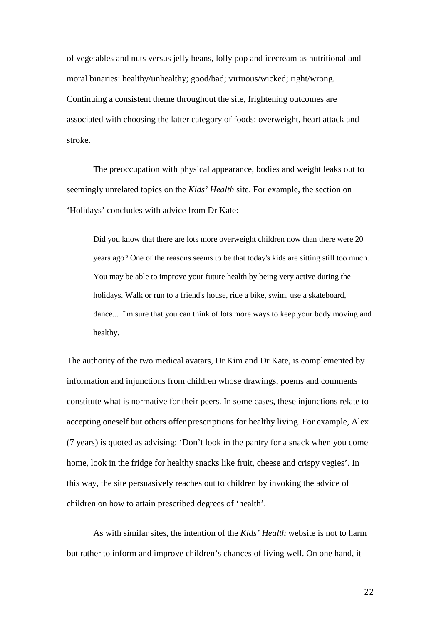of vegetables and nuts versus jelly beans, lolly pop and icecream as nutritional and moral binaries: healthy/unhealthy; good/bad; virtuous/wicked; right/wrong. Continuing a consistent theme throughout the site, frightening outcomes are associated with choosing the latter category of foods: overweight, heart attack and stroke.

The preoccupation with physical appearance, bodies and weight leaks out to seemingly unrelated topics on the *Kids' Health* site. For example, the section on 'Holidays' concludes with advice from Dr Kate:

Did you know that there are lots more overweight children now than there were 20 years ago? One of the reasons seems to be that today's kids are sitting still too much. You may be able to improve your future health by being very active during the holidays. Walk or run to a friend's house, ride a bike, swim, use a skateboard, dance... I'm sure that you can think of lots more ways to keep your body moving and healthy.

The authority of the two medical avatars, Dr Kim and Dr Kate, is complemented by information and injunctions from children whose drawings, poems and comments constitute what is normative for their peers. In some cases, these injunctions relate to accepting oneself but others offer prescriptions for healthy living. For example, Alex (7 years) is quoted as advising: 'Don't look in the pantry for a snack when you come home, look in the fridge for healthy snacks like fruit, cheese and crispy vegies'. In this way, the site persuasively reaches out to children by invoking the advice of children on how to attain prescribed degrees of 'health'.

As with similar sites, the intention of the *Kids' Health* website is not to harm but rather to inform and improve children's chances of living well. On one hand, it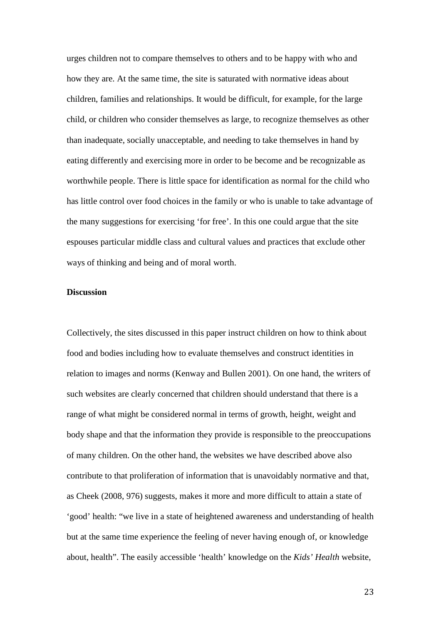urges children not to compare themselves to others and to be happy with who and how they are. At the same time, the site is saturated with normative ideas about children, families and relationships. It would be difficult, for example, for the large child, or children who consider themselves as large, to recognize themselves as other than inadequate, socially unacceptable, and needing to take themselves in hand by eating differently and exercising more in order to be become and be recognizable as worthwhile people. There is little space for identification as normal for the child who has little control over food choices in the family or who is unable to take advantage of the many suggestions for exercising 'for free'. In this one could argue that the site espouses particular middle class and cultural values and practices that exclude other ways of thinking and being and of moral worth.

## **Discussion**

Collectively, the sites discussed in this paper instruct children on how to think about food and bodies including how to evaluate themselves and construct identities in relation to images and norms (Kenway and Bullen 2001). On one hand, the writers of such websites are clearly concerned that children should understand that there is a range of what might be considered normal in terms of growth, height, weight and body shape and that the information they provide is responsible to the preoccupations of many children. On the other hand, the websites we have described above also contribute to that proliferation of information that is unavoidably normative and that, as Cheek (2008, 976) suggests, makes it more and more difficult to attain a state of 'good' health: "we live in a state of heightened awareness and understanding of health but at the same time experience the feeling of never having enough of, or knowledge about, health". The easily accessible 'health' knowledge on the *Kids' Health* website,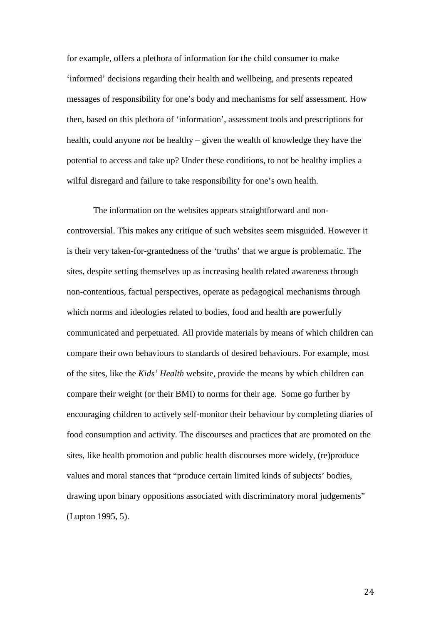for example, offers a plethora of information for the child consumer to make 'informed' decisions regarding their health and wellbeing, and presents repeated messages of responsibility for one's body and mechanisms for self assessment. How then, based on this plethora of 'information', assessment tools and prescriptions for health, could anyone *not* be healthy – given the wealth of knowledge they have the potential to access and take up? Under these conditions, to not be healthy implies a wilful disregard and failure to take responsibility for one's own health.

The information on the websites appears straightforward and noncontroversial. This makes any critique of such websites seem misguided. However it is their very taken-for-grantedness of the 'truths' that we argue is problematic. The sites, despite setting themselves up as increasing health related awareness through non-contentious, factual perspectives, operate as pedagogical mechanisms through which norms and ideologies related to bodies, food and health are powerfully communicated and perpetuated. All provide materials by means of which children can compare their own behaviours to standards of desired behaviours. For example, most of the sites, like the *Kids' Health* website, provide the means by which children can compare their weight (or their BMI) to norms for their age. Some go further by encouraging children to actively self-monitor their behaviour by completing diaries of food consumption and activity. The discourses and practices that are promoted on the sites, like health promotion and public health discourses more widely, (re)produce values and moral stances that "produce certain limited kinds of subjects' bodies, drawing upon binary oppositions associated with discriminatory moral judgements" (Lupton 1995, 5).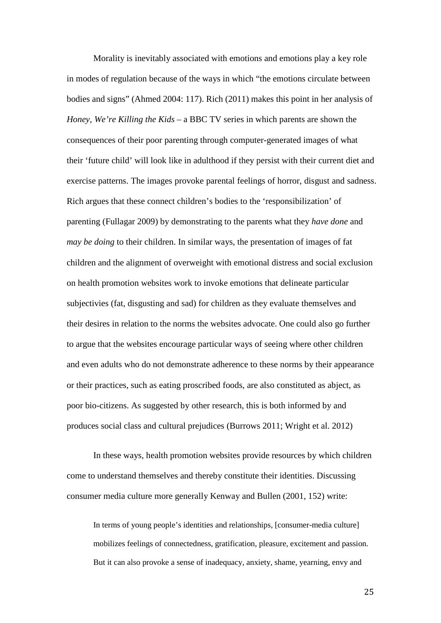Morality is inevitably associated with emotions and emotions play a key role in modes of regulation because of the ways in which "the emotions circulate between bodies and signs" (Ahmed 2004: 117). Rich (2011) makes this point in her analysis of *Honey, We're Killing the Kids –* a BBC TV series in which parents are shown the consequences of their poor parenting through computer-generated images of what their 'future child' will look like in adulthood if they persist with their current diet and exercise patterns. The images provoke parental feelings of horror, disgust and sadness. Rich argues that these connect children's bodies to the 'responsibilization' of parenting (Fullagar 2009) by demonstrating to the parents what they *have done* and *may be doing* to their children. In similar ways, the presentation of images of fat children and the alignment of overweight with emotional distress and social exclusion on health promotion websites work to invoke emotions that delineate particular subjectivies (fat, disgusting and sad) for children as they evaluate themselves and their desires in relation to the norms the websites advocate. One could also go further to argue that the websites encourage particular ways of seeing where other children and even adults who do not demonstrate adherence to these norms by their appearance or their practices, such as eating proscribed foods, are also constituted as abject, as poor bio-citizens. As suggested by other research, this is both informed by and produces social class and cultural prejudices (Burrows 2011; Wright et al. 2012)

In these ways, health promotion websites provide resources by which children come to understand themselves and thereby constitute their identities. Discussing consumer media culture more generally Kenway and Bullen (2001, 152) write:

In terms of young people's identities and relationships, [consumer-media culture] mobilizes feelings of connectedness, gratification, pleasure, excitement and passion. But it can also provoke a sense of inadequacy, anxiety, shame, yearning, envy and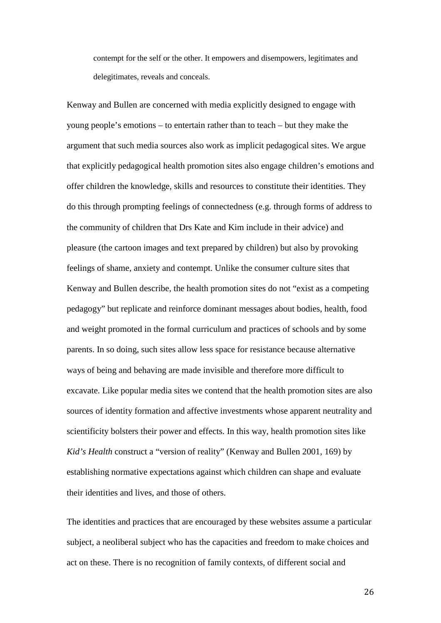contempt for the self or the other. It empowers and disempowers, legitimates and delegitimates, reveals and conceals.

Kenway and Bullen are concerned with media explicitly designed to engage with young people's emotions – to entertain rather than to teach – but they make the argument that such media sources also work as implicit pedagogical sites. We argue that explicitly pedagogical health promotion sites also engage children's emotions and offer children the knowledge, skills and resources to constitute their identities. They do this through prompting feelings of connectedness (e.g. through forms of address to the community of children that Drs Kate and Kim include in their advice) and pleasure (the cartoon images and text prepared by children) but also by provoking feelings of shame, anxiety and contempt. Unlike the consumer culture sites that Kenway and Bullen describe, the health promotion sites do not "exist as a competing pedagogy" but replicate and reinforce dominant messages about bodies, health, food and weight promoted in the formal curriculum and practices of schools and by some parents. In so doing, such sites allow less space for resistance because alternative ways of being and behaving are made invisible and therefore more difficult to excavate. Like popular media sites we contend that the health promotion sites are also sources of identity formation and affective investments whose apparent neutrality and scientificity bolsters their power and effects. In this way, health promotion sites like *Kid's Health* construct a "version of reality" (Kenway and Bullen 2001, 169) by establishing normative expectations against which children can shape and evaluate their identities and lives, and those of others.

The identities and practices that are encouraged by these websites assume a particular subject, a neoliberal subject who has the capacities and freedom to make choices and act on these. There is no recognition of family contexts, of different social and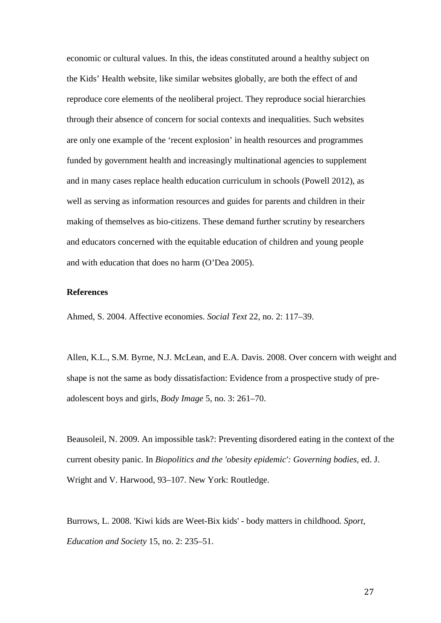economic or cultural values. In this, the ideas constituted around a healthy subject on the Kids' Health website, like similar websites globally, are both the effect of and reproduce core elements of the neoliberal project. They reproduce social hierarchies through their absence of concern for social contexts and inequalities. Such websites are only one example of the 'recent explosion' in health resources and programmes funded by government health and increasingly multinational agencies to supplement and in many cases replace health education curriculum in schools (Powell 2012), as well as serving as information resources and guides for parents and children in their making of themselves as bio-citizens. These demand further scrutiny by researchers and educators concerned with the equitable education of children and young people and with education that does no harm (O'Dea 2005).

#### **References**

Ahmed, S. 2004. Affective economies. *Social Text* 22, no. 2: 117–39.

Allen, K.L., S.M. Byrne, N.J. McLean, and E.A. Davis. 2008. Over concern with weight and shape is not the same as body dissatisfaction: Evidence from a prospective study of preadolescent boys and girls, *Body Image* 5, no. 3: 261–70.

Beausoleil, N. 2009. An impossible task?: Preventing disordered eating in the context of the current obesity panic. In *Biopolitics and the 'obesity epidemic': Governing bodies*, ed. J. Wright and V. Harwood, 93–107. New York: Routledge.

Burrows, L. 2008. 'Kiwi kids are Weet-Bix kids' - body matters in childhood. *Sport, Education and Society* 15, no. 2: 235–51.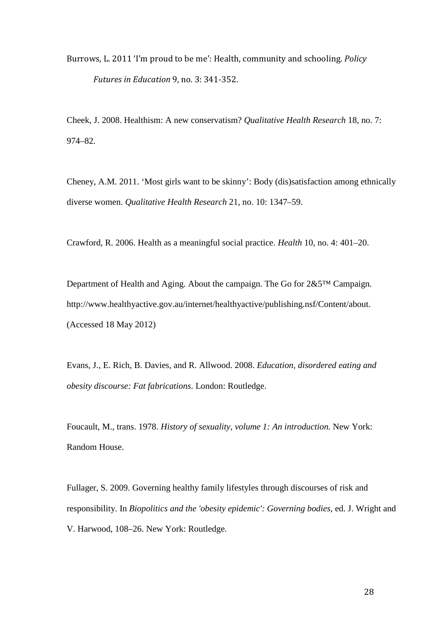Burrows, L. 2011 'I'm proud to be me': Health, community and schooling. *Policy Futures in Education* 9, no. 3: 341-352.

Cheek, J. 2008. Healthism: A new conservatism? *Qualitative Health Research* 18, no. 7: 974–82.

Cheney, A.M. 2011. 'Most girls want to be skinny': Body (dis)satisfaction among ethnically diverse women. *Qualitative Health Research* 21, no. 10: 1347–59.

Crawford, R. 2006. Health as a meaningful social practice. *Health* 10, no. 4: 401–20.

Department of Health and Aging. About the campaign. The Go for 2&5™ Campaign*.* http://www.healthyactive.gov.au/internet/healthyactive/publishing.nsf/Content/about. (Accessed 18 May 2012)

Evans, J., E. Rich, B. Davies, and R. Allwood. 2008. *Education, disordered eating and obesity discourse: Fat fabrications*. London: Routledge.

Foucault, M., trans. 1978. *History of sexuality, volume 1: An introduction.* New York: Random House.

Fullager, S. 2009. Governing healthy family lifestyles through discourses of risk and responsibility. In *Biopolitics and the 'obesity epidemic': Governing bodies*, ed. J. Wright and V. Harwood, 108–26. New York: Routledge.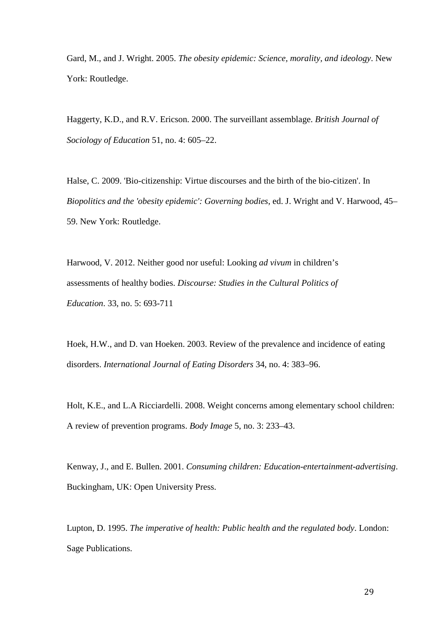Gard, M., and J. Wright. 2005. *The obesity epidemic: Science, morality, and ideology*. New York: Routledge.

Haggerty, K.D., and R.V. Ericson. 2000. The surveillant assemblage. *British Journal of Sociology of Education* 51, no. 4: 605–22.

Halse, C. 2009. 'Bio-citizenship: Virtue discourses and the birth of the bio-citizen'. In *Biopolitics and the 'obesity epidemic': Governing bodies*, ed. J. Wright and V. Harwood, 45– 59. New York: Routledge.

Harwood, V. 2012. Neither good nor useful: Looking *ad vivum* in children's assessments of healthy bodies. *Discourse: Studies in the Cultural Politics of Education*. 33, no. 5: 693-711

Hoek, H.W., and D. van Hoeken. 2003. Review of the prevalence and incidence of eating disorders. *International Journal of Eating Disorders* 34, no. 4: 383–96.

Holt, K.E., and L.A Ricciardelli. 2008. Weight concerns among elementary school children: A review of prevention programs. *Body Image* 5, no. 3: 233–43.

Kenway, J., and E. Bullen. 2001. *Consuming children: Education-entertainment-advertising*. Buckingham, UK: Open University Press.

Lupton, D. 1995. *The imperative of health: Public health and the regulated body*. London: Sage Publications.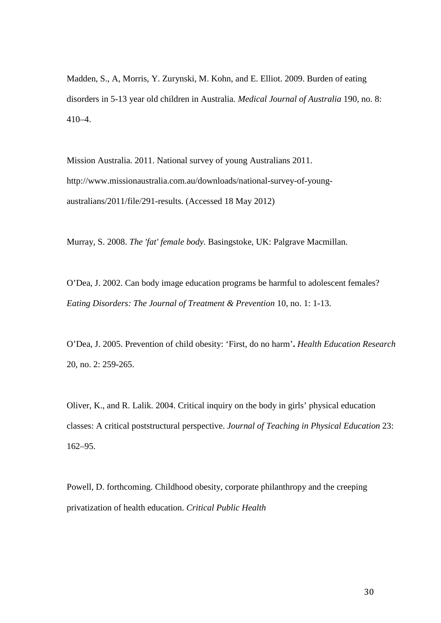Madden, S., A, Morris, Y. Zurynski, M. Kohn, and E. Elliot. 2009. Burden of eating disorders in 5-13 year old children in Australia. *Medical Journal of Australia* 190, no. 8: 410–4.

Mission Australia. 2011. National survey of young Australians 2011. [http://www.missionaustralia.com.au/downloads/national-survey-of-young](http://www.missionaustralia.com.au/downloads/national-survey-of-young-australians/2011/file/291-results)[australians/2011/file/291-results.](http://www.missionaustralia.com.au/downloads/national-survey-of-young-australians/2011/file/291-results) (Accessed 18 May 2012)

Murray, S. 2008. *The 'fat' female body.* Basingstoke, UK: Palgrave Macmillan.

O'Dea, J. 2002. Can body image education programs be harmful to adolescent females? *Eating Disorders: The Journal of Treatment & Prevention* 10, no. 1: 1-13.

O'Dea, J. 2005. Prevention of child obesity: 'First, do no harm'**.** *Health Education Research* 20, no. 2: 259-265.

Oliver, K., and R. Lalik. 2004. Critical inquiry on the body in girls' physical education classes: A critical poststructural perspective. *Journal of Teaching in Physical Education* 23: 162–95.

Powell, D. forthcoming. Childhood obesity, corporate philanthropy and the creeping privatization of health education. *Critical Public Health*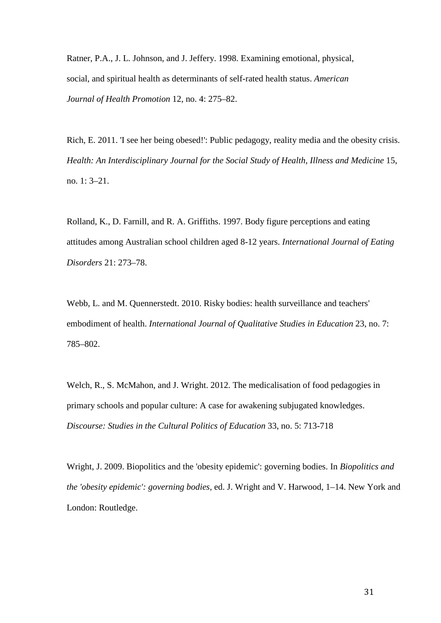Ratner, P.A., J. L. Johnson, and J. Jeffery. 1998. Examining emotional, physical, social, and spiritual health as determinants of self-rated health status. *American Journal of Health Promotion* 12, no. 4: 275–82.

Rich, E. 2011. 'I see her being obesed!': Public pedagogy, reality media and the obesity crisis. *Health: An Interdisciplinary Journal for the Social Study of Health, Illness and Medicine* 15, no. 1: 3–21.

Rolland, K., D. Farnill, and R. A. Griffiths. 1997. Body figure perceptions and eating attitudes among Australian school children aged 8-12 years. *International Journal of Eating Disorders* 21: 273–78.

Webb, L. and M. Quennerstedt. 2010. Risky bodies: health surveillance and teachers' embodiment of health. *International Journal of Qualitative Studies in Education* 23, no. 7: 785–802.

Welch, R., S. McMahon, and J. Wright. 2012. The medicalisation of food pedagogies in primary schools and popular culture: A case for awakening subjugated knowledges. *Discourse: Studies in the Cultural Politics of Education* 33, no. 5: 713-718

Wright, J. 2009. Biopolitics and the 'obesity epidemic': governing bodies. In *Biopolitics and the 'obesity epidemic': governing bodies,* ed. J. Wright and V. Harwood, 1–14. New York and London: Routledge.